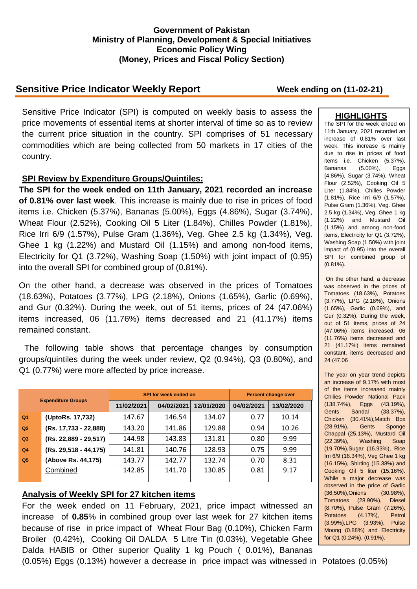### **Government of Pakistan Ministry of Planning, Development & Special Initiatives Economic Policy Wing (Money, Prices and Fiscal Policy Section)**

# **Sensitive Price Indicator Weekly Report Week ending on (11-02-21)**

Sensitive Price Indicator (SPI) is computed on weekly basis to assess the price movements of essential items at shorter interval of time so as to review the current price situation in the country. SPI comprises of 51 necessary commodities which are being collected from 50 markets in 17 cities of the country.

### **SPI Review by Expenditure Groups/Quintiles:**

**The SPI for the week ended on 11th January, 2021 recorded an increase of 0.81% over last week**. This increase is mainly due to rise in prices of food items i.e. Chicken (5.37%), Bananas (5.00%), Eggs (4.86%), Sugar (3.74%), Wheat Flour (2.52%), Cooking Oil 5 Liter (1.84%), Chilles Powder (1.81%), Rice Irri 6/9 (1.57%), Pulse Gram (1.36%), Veg. Ghee 2.5 kg (1.34%), Veg. Ghee 1 kg (1.22%) and Mustard Oil (1.15%) and among non-food items, Electricity for Q1 (3.72%), Washing Soap (1.50%) with joint impact of (0.95) into the overall SPI for combined group of (0.81%).

On the other hand, a decrease was observed in the prices of Tomatoes (18.63%), Potatoes (3.77%), LPG (2.18%), Onions (1.65%), Garlic (0.69%), and Gur (0.32%). During the week, out of 51 items, prices of 24 (47.06%) items increased, 06 (11.76%) items decreased and 21 (41.17%) items remained constant.

The following table shows that percentage changes by consumption groups/quintiles during the week under review, Q2 (0.94%), Q3 (0.80%), and Q1 (0.77%) were more affected by price increase.

| <b>Expenditure Groups</b> |                         |            | SPI for week ended on | <b>Percent change over</b> |            |            |
|---------------------------|-------------------------|------------|-----------------------|----------------------------|------------|------------|
|                           |                         | 11/02/2021 | 04/02/2021            | 12/01/2020                 | 04/02/2021 | 13/02/2020 |
| Q <sub>1</sub>            | (UptoRs. 17,732)        | 147.67     | 146.54                | 134.07                     | 0.77       | 10.14      |
| Q2                        | (Rs. 17,733 - 22,888)   | 143.20     | 141.86                | 129.88                     | 0.94       | 10.26      |
| Q3                        | (Rs. 22,889 - 29,517)   | 144.98     | 143.83                | 131.81                     | 0.80       | 9.99       |
| Q <sub>4</sub>            | $(Rs. 29.518 - 44.175)$ | 141.81     | 140.76                | 128.93                     | 0.75       | 9.99       |
| Q <sub>5</sub>            | (Above Rs. 44,175)      | 143.77     | 142.77                | 132.74                     | 0.70       | 8.31       |
|                           | Combined                | 142.85     | 141.70                | 130.85                     | 0.81       | 9.17       |

## **Analysis of Weekly SPI for 27 kitchen items**

For the week ended on 11 February, 2021, price impact witnessed an increase of **0.85**% in combined group over last week for 27 kitchen items because of rise in price impact of Wheat Flour Bag (0.10%), Chicken Farm Broiler (0.42%), Cooking Oil DALDA 5 Litre Tin (0.03%), Vegetable Ghee Dalda HABIB or Other superior Quality 1 kg Pouch ( 0.01%), Bananas (0.05%) Eggs (0.13%) however a decrease in price impact was witnessed in Potatoes (0.05%)

#### **HIGHLIGHTS**

The SPI for the week ended on 11th January, 2021 recorded an increase of 0.81% over last week. This increase is mainly due to rise in prices of food items i.e. Chicken (5.37%), Bananas (5.00%), Eggs (4.86%), Sugar (3.74%), Wheat Flour (2.52%), Cooking Oil 5 Liter (1.84%), Chilles Powder (1.81%), Rice Irri 6/9 (1.57%), Pulse Gram (1.36%), Veg. Ghee 2.5 kg (1.34%), Veg. Ghee 1 kg (1.22%) and Mustard Oil (1.15%) and among non-food items, Electricity for Q1 (3.72%), Washing Soap (1.50%) with joint impact of (0.95) into the overall SPI for combined group of (0.81%).

On the other hand, a decrease was observed in the prices of Tomatoes (18.63%), Potatoes (3.77%), LPG (2.18%), Onions (1.65%), Garlic (0.69%), and Gur (0.32%). During the week, out of 51 items, prices of 24 (47.06%) items increased, 06 (11.76%) items decreased and 21 (41.17%) items remained constant. items decreased and 24 (47.06

The year on year trend depicts an increase of 9.17% with most of the items increased mainly Chilies Powder National Pack (138.74%), Eggs (43.19%), Gents Sandal (33.37%), Chicken (30.41%),Match Box (28.91%), Gents Sponge Chappal (25.13%), Mustard Oil (22.39%), Washing Soap (19.70%),Sugar (16.93%), Rice Irri 6/9 (16.34%), Veg Ghee 1 kg (16.15%), Shirting (15.38%) and Cooking Oil 5 liter (15.16%). While a major decrease was observed in the price of Garlic (36.50%),Onions (30.98%), Tomatoes (28.90%), Diesel (8.70%), Pulse Gram (7.26%), Potatoes (4.17%), Petrol (3.99%),LPG (3.93%), Pulse Moong (0.88%) and Electricity for Q1 (0.24%). (0.91%).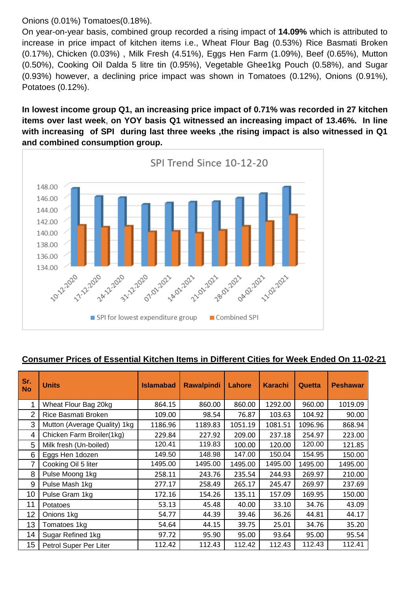Onions (0.01%) Tomatoes(0.18%).

On year-on-year basis, combined group recorded a rising impact of **14.09%** which is attributed to increase in price impact of kitchen items i.e., Wheat Flour Bag (0.53%) Rice Basmati Broken (0.17%), Chicken (0.03%) , Milk Fresh (4.51%), Eggs Hen Farm (1.09%), Beef (0.65%), Mutton (0.50%), Cooking Oil Dalda 5 litre tin (0.95%), Vegetable Ghee1kg Pouch (0.58%), and Sugar (0.93%) however, a declining price impact was shown in Tomatoes (0.12%), Onions (0.91%), Potatoes (0.12%).

**In lowest income group Q1, an increasing price impact of 0.71% was recorded in 27 kitchen items over last week**, **on YOY basis Q1 witnessed an increasing impact of 13.46%. In line with increasing of SPI during last three weeks ,the rising impact is also witnessed in Q1 and combined consumption group.**



## **Consumer Prices of Essential Kitchen Items in Different Cities for Week Ended On 11-02-21**

| Sr.<br><b>No</b> | <b>Units</b>                 | <b>Islamabad</b> | <b>Rawalpindi</b> | Lahore  | <b>Karachi</b> | <b>Quetta</b> | <b>Peshawar</b> |
|------------------|------------------------------|------------------|-------------------|---------|----------------|---------------|-----------------|
| 1                | Wheat Flour Bag 20kg         | 864.15           | 860.00            | 860.00  | 1292.00        | 960.00        | 1019.09         |
| 2                | Rice Basmati Broken          | 109.00           | 98.54             | 76.87   | 103.63         | 104.92        | 90.00           |
| 3                | Mutton (Average Quality) 1kg | 1186.96          | 1189.83           | 1051.19 | 1081.51        | 1096.96       | 868.94          |
| 4                | Chicken Farm Broiler(1kg)    | 229.84           | 227.92            | 209.00  | 237.18         | 254.97        | 223.00          |
| 5                | Milk fresh (Un-boiled)       | 120.41           | 119.83            | 100.00  | 120.00         | 120.00        | 121.85          |
| 6                | Eggs Hen 1dozen              | 149.50           | 148.98            | 147.00  | 150.04         | 154.95        | 150.00          |
| 7                | Cooking Oil 5 liter          | 1495.00          | 1495.00           | 1495.00 | 1495.00        | 1495.00       | 1495.00         |
| 8                | Pulse Moong 1kg              | 258.11           | 243.76            | 235.54  | 244.93         | 269.97        | 210.00          |
| 9                | Pulse Mash 1kg               | 277.17           | 258.49            | 265.17  | 245.47         | 269.97        | 237.69          |
| 10               | Pulse Gram 1kg               | 172.16           | 154.26            | 135.11  | 157.09         | 169.95        | 150.00          |
| 11               | Potatoes                     | 53.13            | 45.48             | 40.00   | 33.10          | 34.76         | 43.09           |
| 12               | Onions 1kg                   | 54.77            | 44.39             | 39.46   | 36.26          | 44.81         | 44.17           |
| 13               | Tomatoes 1kg                 | 54.64            | 44.15             | 39.75   | 25.01          | 34.76         | 35.20           |
| 14               | Sugar Refined 1kg            | 97.72            | 95.90             | 95.00   | 93.64          | 95.00         | 95.54           |
| 15               | Petrol Super Per Liter       | 112.42           | 112.43            | 112.42  | 112.43         | 112.43        | 112.41          |